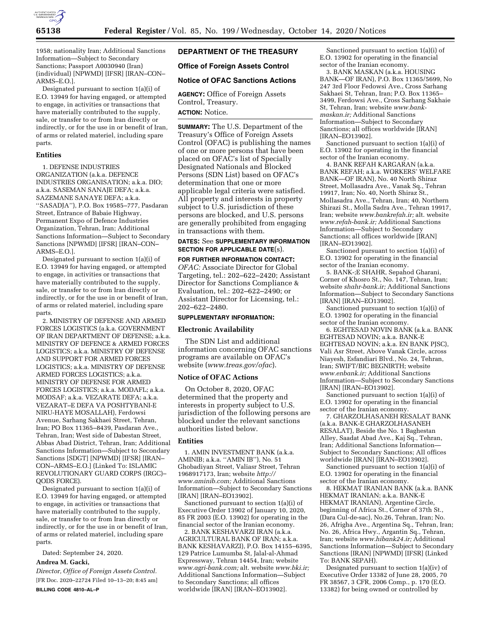

1958; nationality Iran; Additional Sanctions Information—Subject to Secondary Sanctions; Passport A0030940 (Iran) (individual) [NPWMD] [IFSR] [IRAN–CON– ARMS–E.O.].

Designated pursuant to section 1(a)(i) of E.O. 13949 for having engaged, or attempted to engage, in activities or transactions that have materially contributed to the supply, sale, or transfer to or from Iran directly or indirectly, or for the use in or benefit of Iran, of arms or related materiel, including spare parts.

#### **Entities**

1. DEFENSE INDUSTRIES ORGANIZATION (a.k.a. DEFENCE INDUSTRIES ORGANISATION; a.k.a. DIO; a.k.a. SASEMAN SANAJE DEFA; a.k.a. SAZEMANE SANAYE DEFA; a.k.a. ''SASADJA''), P.O. Box 19585–777, Pasdaran Street, Entrance of Babaie Highway, Permanent Expo of Defence Industries Organization, Tehran, Iran; Additional Sanctions Information—Subject to Secondary Sanctions [NPWMD] [IFSR] [IRAN–CON– ARMS–E.O.].

Designated pursuant to section 1(a)(i) of E.O. 13949 for having engaged, or attempted to engage, in activities or transactions that have materially contributed to the supply, sale, or transfer to or from Iran directly or indirectly, or for the use in or benefit of Iran, of arms or related materiel, including spare parts.

2. MINISTRY OF DEFENSE AND ARMED FORCES LOGISTICS (a.k.a. GOVERNMENT OF IRAN DEPARTMENT OF DEFENSE; a.k.a. MINISTRY OF DEFENCE & ARMED FORCES LOGISTICS; a.k.a. MINISTRY OF DEFENSE AND SUPPORT FOR ARMED FORCES LOGISTICS; a.k.a. MINISTRY OF DEFENSE ARMED FORCES LOGISTICS; a.k.a. MINISTRY OF DEFENSE FOR ARMED FORCES LOGISTICS; a.k.a. MODAFL; a.k.a. MODSAF; a.k.a. VEZARATE DEFA; a.k.a. VEZARAT–E DEFA VA POSHTYBANI-E NIRU-HAYE MOSALLAH), Ferdowsi Avenue, Sarhang Sakhaei Street, Tehran, Iran; PO Box 11365–8439, Pasdaran Ave., Tehran, Iran; West side of Dabestan Street, Abbas Abad District, Tehran, Iran; Additional Sanctions Information—Subject to Secondary Sanctions [SDGT] [NPWMD] [IFSR] [IRAN– CON–ARMS–E.O.] (Linked To: ISLAMIC REVOLUTIONARY GUARD CORPS (IRGC)– QODS FORCE).

Designated pursuant to section 1(a)(i) of E.O. 13949 for having engaged, or attempted to engage, in activities or transactions that have materially contributed to the supply, sale, or transfer to or from Iran directly or indirectly, or for the use in or benefit of Iran, of arms or related materiel, including spare parts.

Dated: September 24, 2020.

## **Andrea M. Gacki,**

*Director, Office of Foreign Assets Control.*  [FR Doc. 2020–22724 Filed 10–13–20; 8:45 am] **BILLING CODE 4810–AL–P** 

# **DEPARTMENT OF THE TREASURY**

## **Office of Foreign Assets Control**

## **Notice of OFAC Sanctions Actions**

**AGENCY:** Office of Foreign Assets Control, Treasury.

## **ACTION:** Notice.

**SUMMARY:** The U.S. Department of the Treasury's Office of Foreign Assets Control (OFAC) is publishing the names of one or more persons that have been placed on OFAC's list of Specially Designated Nationals and Blocked Persons (SDN List) based on OFAC's determination that one or more applicable legal criteria were satisfied. All property and interests in property subject to U.S. jurisdiction of these persons are blocked, and U.S. persons are generally prohibited from engaging in transactions with them.

## **DATES:** See **SUPPLEMENTARY INFORMATION SECTION FOR APPLICABLE DATE**(s).

#### **FOR FURTHER INFORMATION CONTACT:**

*OFAC:* Associate Director for Global Targeting, tel.: 202–622–2420; Assistant Director for Sanctions Compliance & Evaluation, tel.: 202–622–2490; or Assistant Director for Licensing, tel.: 202–622–2480.

#### **SUPPLEMENTARY INFORMATION:**

## **Electronic Availability**

The SDN List and additional information concerning OFAC sanctions programs are available on OFAC's website (*[www.treas.gov/ofac](http://www.treas.gov/ofac)*).

#### **Notice of OFAC Actions**

On October 8, 2020, OFAC determined that the property and interests in property subject to U.S. jurisdiction of the following persons are blocked under the relevant sanctions authorities listed below.

## **Entities**

1. AMIN INVESTMENT BANK (a.k.a. AMINIB; a.k.a. ''AMIN IB''), No. 51 Ghobadiyan Street, Valiasr Street, Tehran 1968917173, Iran; website *[http://](http://www.aminib.com) [www.aminib.com;](http://www.aminib.com)* Additional Sanctions Information—Subject to Secondary Sanctions [IRAN] [IRAN–EO13902].

Sanctioned pursuant to section 1(a)(i) of Executive Order 13902 of January 10, 2020, 85 FR 2003 (E.O. 13902) for operating in the financial sector of the Iranian economy.

2. BANK KESHAVARZI IRAN (a.k.a. AGRICULTURAL BANK OF IRAN; a.k.a. BANK KESHAVARZI), P.O. Box 14155–6395, 129 Patrice Lumumba St, Jalal-al-Ahmad Expressway, Tehran 14454, Iran; website *[www.agri-bank.com;](http://www.agri-bank.com)* alt. website *[www.bki.ir;](http://www.bki.ir)*  Additional Sanctions Information—Subject to Secondary Sanctions; all offices worldwide [IRAN] [IRAN–EO13902].

Sanctioned pursuant to section 1(a)(i) of E.O. 13902 for operating in the financial sector of the Iranian economy.

3. BANK MASKAN (a.k.a. HOUSING BANK—OF IRAN), P.O. Box 11365/5699, No 247 3rd Floor Fedowsi Ave., Cross Sarhang Sakhaei St, Tehran, Iran; P.O. Box 11365– 3499, Ferdowsi Ave., Cross Sarhang Sakhaie St, Tehran, Iran; website *[www.bank](http://www.bank-maskan.ir)[maskan.ir;](http://www.bank-maskan.ir)* Additional Sanctions Information—Subject to Secondary Sanctions; all offices worldwide [IRAN] [IRAN–EO13902].

Sanctioned pursuant to section 1(a)(i) of E.O. 13902 for operating in the financial sector of the Iranian economy.

4. BANK REFAH KARGARAN (a.k.a. BANK REFAH; a.k.a. WORKERS' WELFARE BANK—OF IRAN), No. 40 North Shiraz Street, Mollasadra Ave., Vanak Sq., Tehran 19917, Iran; No. 40, North Shiraz St., Mollasadra Ave., Tehran, Iran; 40, Northern Shirazi St., Molla Sadra Ave., Tehran 19917, Iran; website *[www.bankrefah.ir;](http://www.bankrefah.ir)* alt. website *[www.refah-bank.ir;](http://www.refah-bank.ir)* Additional Sanctions Information—Subject to Secondary Sanctions; all offices worldwide [IRAN] [IRAN–EO13902].

Sanctioned pursuant to section 1(a)(i) of E.O. 13902 for operating in the financial sector of the Iranian economy.

5. BANK-;E SHAHR, Sepahod Gharani, Corner of Khosro St., No. 147, Tehran, Iran; website *shahr-bank.ir;* Additional Sanctions Information—Subject to Secondary Sanctions [IRAN] [IRAN–EO13902].

Sanctioned pursuant to section 1(a)(i) of E.O. 13902 for operating in the financial sector of the Iranian economy.

6. EGHTESAD NOVIN BANK (a.k.a. BANK EGHTESAD NOVIN; a.k.a. BANK-E EGHTESAD NOVIN; a.k.a. EN BANK PJSC), Vali Asr Street, Above Vanak Circle, across Niayesh, Esfandiari Blvd., No. 24, Tehran, Iran; SWIFT/BIC BEGNIRTH; website *[www.enbank.ir;](http://www.enbank.ir)* Additional Sanctions Information—Subject to Secondary Sanctions [IRAN] [IRAN-EO13902].

Sanctioned pursuant to section 1(a)(i) of E.O. 13902 for operating in the financial sector of the Iranian economy.

7. GHARZOLHASANEH RESALAT BANK (a.k.a. BANK-E GHARZOLHASANEH RESALAT), Beside the No. 1 Baghestan Alley, Saadat Abad Ave., Kaj Sq., Tehran, Iran; Additional Sanctions Information— Subject to Secondary Sanctions; All offices worldwide [IRAN] [IRAN–EO13902].

Sanctioned pursuant to section 1(a)(i) of E.O. 13902 for operating in the financial sector of the Iranian economy.

8. HEKMAT IRANIAN BANK (a.k.a. BANK HEKMAT IRANIAN; a.k.a. BANK-E HEKMAT IRANIAN), Argentine Circle, beginning of Africa St., Corner of 37th St., (Dara Cul-de-sac), No.26, Tehran, Iran; No. 26, Afrigha Ave., Argentina Sq., Tehran, Iran; No. 26, Africa Hwy., Argantin Sq., Tehran, Iran; website *[www.hibank24.ir;](http://www.hibank24.ir)* Additional Sanctions Information—Subject to Secondary Sanctions [IRAN] [NPWMD] [IFSR] (Linked To: BANK SEPAH).

Designated pursuant to section 1(a)(iv) of Executive Order 13382 of June 28, 2005, 70 FR 38567, 3 CFR, 2006 Comp., p. 170 (E.O. 13382) for being owned or controlled by